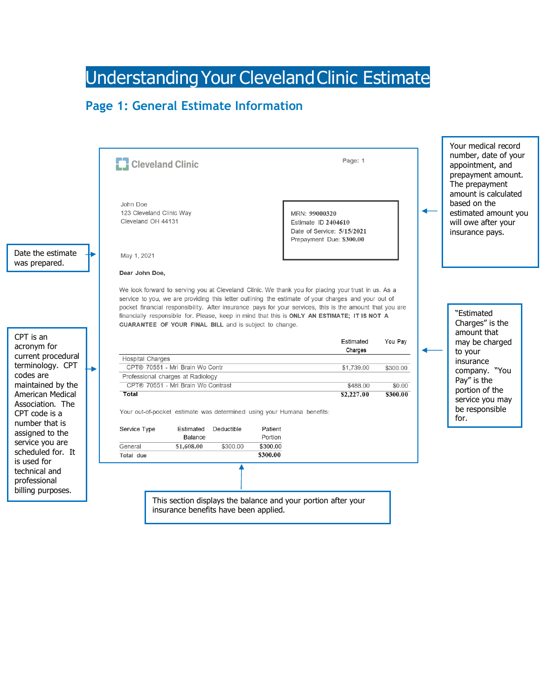# Understanding Your Cleveland Clinic Estimate

## **Page 1: General Estimate Information**

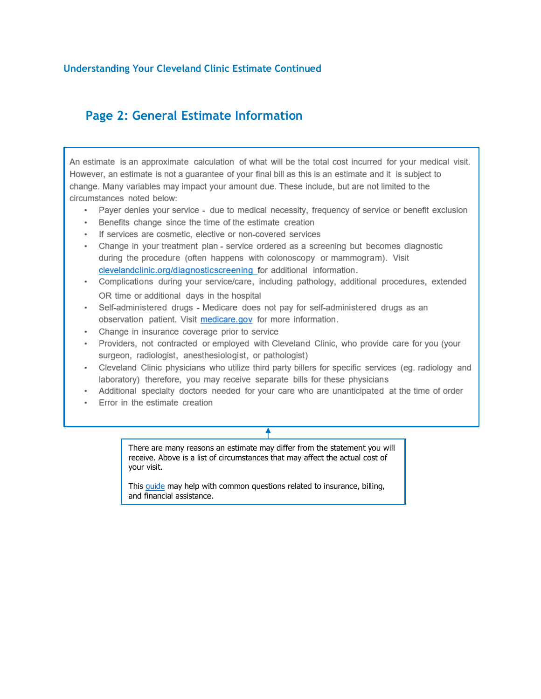#### **Understanding Your Cleveland Clinic Estimate Continued**

### Page 2: General Estimate Information

An estimate is an approximate calculation of what will be the total cost incurred for your medical visit. However, an estimate is not a guarantee of your final bill as this is an estimate and it is subject to change. Many variables may impact your amount due. These include, but are not limited to the circumstances noted below:

- Payer denies your service due to medical necessity, frequency of service or benefit exclusion
- Benefits change since the time of the estimate creation
- If services are cosmetic, elective or non-covered services
- Change in your treatment plan service ordered as a screening but becomes diagnostic during the procedure (often happens with colonoscopy or mammogram). Visit clevelandclinic.org/diagnosticscreening for additional information.
- Complications during your service/care, including pathology, additional procedures, extended OR time or additional days in the hospital
- Self-administered drugs Medicare does not pay for self-administered drugs as an observation patient. Visit medicare.gov for more information.
- Change in insurance coverage prior to service
- Providers, not contracted or employed with Cleveland Clinic, who provide care for you (your surgeon, radiologist, anesthesiologist, or pathologist)
- Cleveland Clinic physicians who utilize third party billers for specific services (eg. radiology and laboratory) therefore, you may receive separate bills for these physicians
- Additional specialty doctors needed for your care who are unanticipated at the time of order
- Error in the estimate creation

#### ╇

There are many reasons an estimate may differ from the statement you will receive. Above is a list of circumstances that may affect the actual cost of your visit.

This quide may help with common questions related to insurance, billing, and financial assistance.